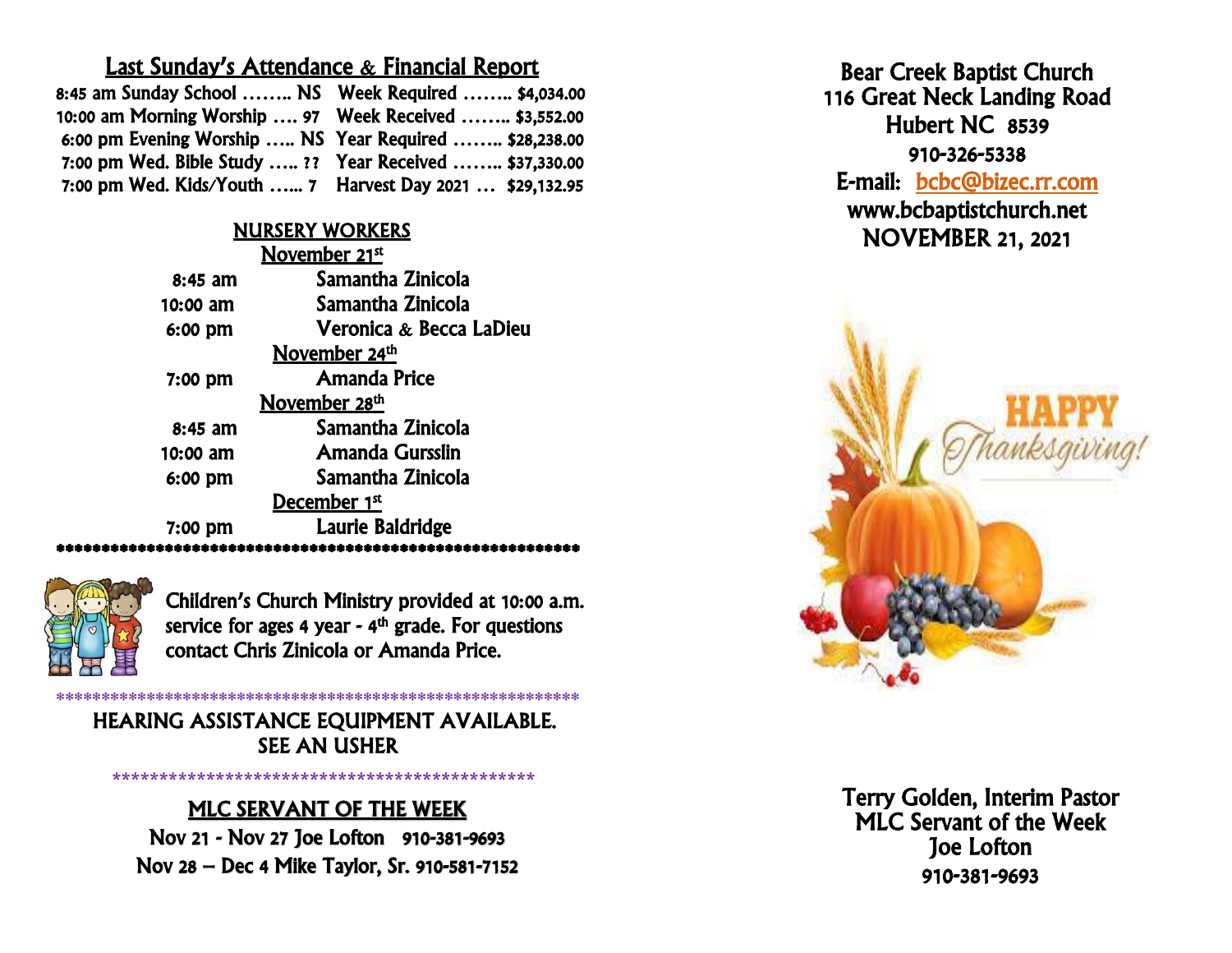## Last Sunday's Attendance & Financial Report

| 10:00 am Morning Worship  97 Week Received  \$3,552.00   |  |
|----------------------------------------------------------|--|
| 6:00 pm Evening Worship  NS Year Required  \$28,238.00   |  |
| 7:00 pm Wed. Bible Study  ?? Year Received  \$37,330.00  |  |
| 7:00 pm Wed. Kids/Youth  7 Harvest Day 2021  \$29,132.95 |  |

## NURSERY WORKERS November 21st 8:45 am Samantha Zinicola 10:00 am Samantha Zinicola 6:00 pm Veronica & Becca LaDieu **November 24<sup>th</sup>**  7:00 pm Amanda Price <u>November 28<sup>th</sup></u> 8:45 am Samantha Zinicola

| $10:00$ am | Amanda Gursslin   |
|------------|-------------------|
| $6:00$ pm  | Samantha Zinicola |
|            | December 1st      |
| $7:00$ pm  | Laurie Baldridge  |

\*\*\*\*\*\*\*\*\*\*\*\*\*\*\*\*\*\*\*\*\*\*\*\*\*\*\*\*\*\*\*\*\*\*\*\*\*\*\*\*\*\*\*\*\*\*\*\*\*\*\*\*\*\*\*\*\*\*



Children's Church Ministry provided at 10:00 a.m. service for ages 4 year - 4<sup>th</sup> grade. For questions contact Chris Zinicola or Amanda Price.

HEARING ASSISTANCE EQUIPMENT AVAILABLE. SEE AN USHER

\*\*\*\*\*\*\*\*\*\*\*\*\*\*\*\*\*\*\*\*\*\*\*\*\*\*\*\*\*\*\*\*\*\*\*\*\*\*\*\*\*\*\*\*\*\*\*\*\*\*\*\*\*\*\*\*\*\*

# MLC SERVANT OF THE WEEK

**\*\*\*\*\*\*\*\*\*\*\*\*\*\*\*\*\*\*\*\*\*\*\*\*\*\*\*\*\*\*\*\*\*\*\*\*\*\*\*\*\*\*\*\*\***

Nov 21 - Nov 27 Joe Lofton 910-381-9693 Nov 28 – Dec 4 Mike Taylor, Sr. 910-581-7152

Bear Creek Baptist Church 116 Great Neck Landing Road Hubert NC 8539 910-326-5338 E-mail: [bcbc@bizec.rr.com](mailto:bcbc@bizec.rr.com)  www.bcbaptistchurch.net NOVEMBER 21, 2021



 Terry Golden, Interim Pastor MLC Servant of the Week Joe Lofton 910-381-9693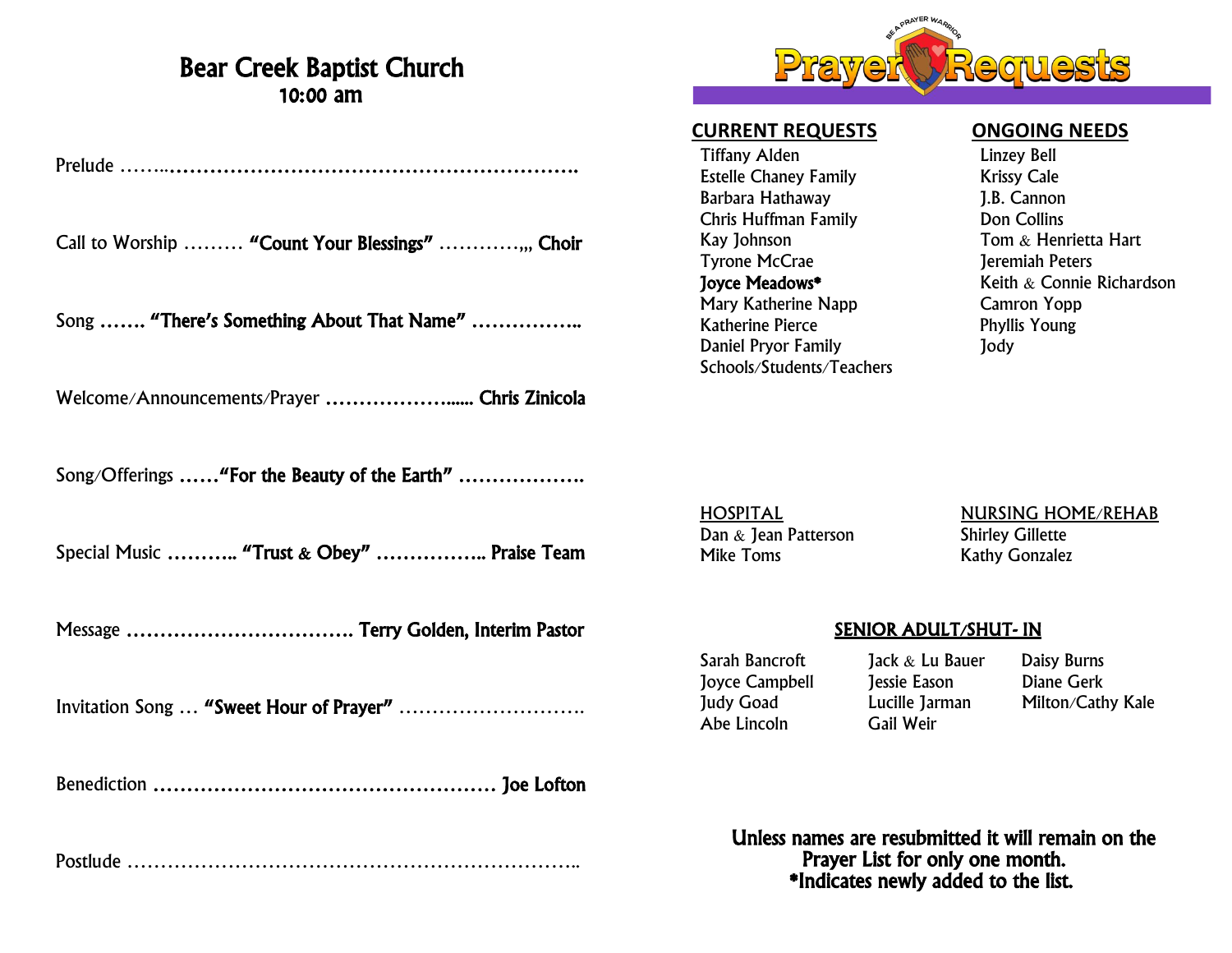# Bear Creek Baptist Church 10:00 am

Prelude ……..…………………………………………………….

Call to Worship ……… "Count Your Blessings" …………,,, Choir

Song ……. "There's Something About That Name" ……………..

Welcome/Announcements/Prayer ………………...... Chris Zinicola

Song/Offerings ……"For the Beauty of the Earth" ……………….

Special Music ……….. "Trust & Obey" ……………. Praise Team

Message ……………………………. Terry Golden, Interim Pastor

Invitation Song … "Sweet Hour of Prayer" ……………………….

Benediction …………………………………………… Joe Lofton

Postlude …………………………………………………………..



#### **CURRENT REQUESTS ONGOING NEEDS**

Tiffany Alden Linzey Bell Estelle Chaney Family **Krissy Cale** Barbara Hathaway J.B. Cannon Chris Huffman Family Don Collins Kay Johnson **Tom & Henrietta Hart**<br>Tyrone McCrae **Tyrone Hart** Tyrone McCrae Tyrone McCrae Mary Katherine Napp Camron Yopp Katherine Pierce **Phyllis Young** Daniel Pryor Family Jody Schools/Students/Teachers

**Joyce Meadows\*** Keith & Connie Richardson

HOSPITAL NURSING HOME/REHAB Dan  $\&$  Jean Patterson Mike Toms **Kathy Gonzalez** 

### SENIOR ADULT/SHUT- IN

Abe Lincoln Gail Weir

Sarah Bancroft Jack & Lu Bauer Daisy Burns Joyce Campbell Jessie Eason Diane Gerk

Judy Goad Lucille Jarman Milton/Cathy Kale

 Unless names are resubmitted it will remain on the Prayer List for only one month. \*Indicates newly added to the list.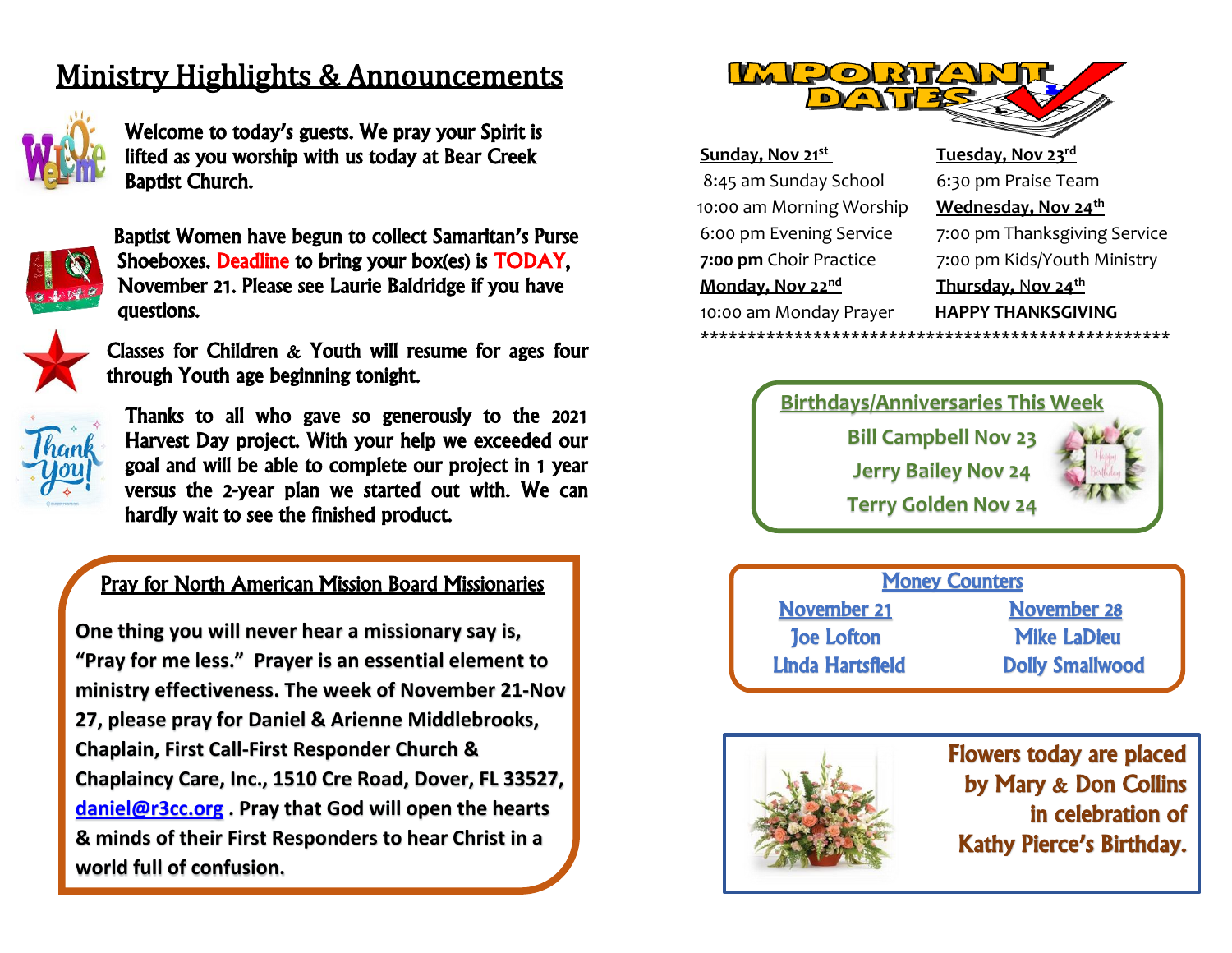# Ministry Highlights & Announcements



Welcome to today's guests. We pray your Spirit is lifted as you worship with us today at Bear Creek Baptist Church.



Baptist Women have begun to collect Samaritan's Purse Shoeboxes. Deadline to bring your box(es) is TODAY, November 21. Please see Laurie Baldridge if you have questions.



Classes for Children & Youth will resume for ages four through Youth age beginning tonight.



 $\overline{\mathcal{L}}$ 

 $\overline{\phantom{a}}$ 

 $\overline{\phantom{a}}$ 

 $\overline{\phantom{a}}$ 

 $\overline{\phantom{a}}$ 

 $\overline{\phantom{a}}$ 

Thanks to all who gave so generously to the 2021 Harvest Day project. With your help we exceeded our goal and will be able to complete our project in 1 year versus the 2-year plan we started out with. We can hardly wait to see the finished product.

## Pray for North American Mission Board Missionaries

**One thing you will never hear a missionary say is, "Pray for me less." Prayer is an essential element to ministry effectiveness. The week of November 21-Nov 27, please pray for Daniel & Arienne Middlebrooks, Chaplain, First Call-First Responder Church & Chaplaincy Care, Inc., 1510 Cre Road, Dover, FL 33527, [daniel@r3cc.org](mailto:daniel@r3cc.org) . Pray that God will open the hearts & minds of their First Responders to hear Christ in a world full of confusion.**



# **Sunday, Nov 21st** 8:45 am Sunday School 6:30 pm Praise Team

**Monday, Nov 22nd** 10:00 am Monday Prayer **HAPPY THANKSGIVING**

 **Tuesday, Nov 23rd** 10:00 am Morning Worship **Wednesday, Nov 24th** 6:00 pm Evening Service 7:00 pm Thanksgiving Service **7:00 pm** Choir Practice 7:00 pm Kids/Youth Ministry **Thursday,** N**ov 24th**

\*\*\*\*\*\*\*\*\*\*\*\*\*\*\*\*\*\*\*\*\*\*\*\*\*\*\*\*\*\*\*\*\*\*\*\*\*\*\*\*\*\*\*\*\*\*\*\*\*\*

# **Birthdays/Anniversaries This Week Bill Campbell Nov 23 Jerry Bailey Nov 24 Terry Golden Nov 24**





Flowers today are placed by Mary & Don Collins in celebration of Kathy Pierce's Birthday.